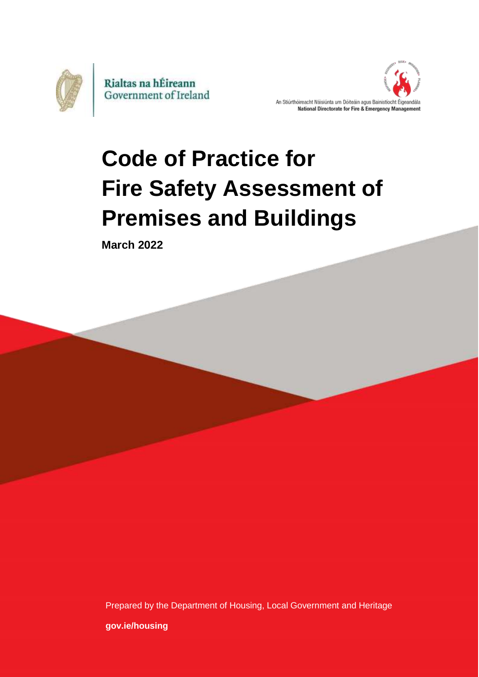



# **Code of Practice for Fire Safety Assessment of Premises and Buildings**

**March 2022**

Prepared by the Department of Housing, Local Government and Heritage **[gov.ie/housing](https://www.gov.ie/en/organisation/department-of-housing-local-government-and-heritage/?referrer=http://www.gov.ie/housing/)**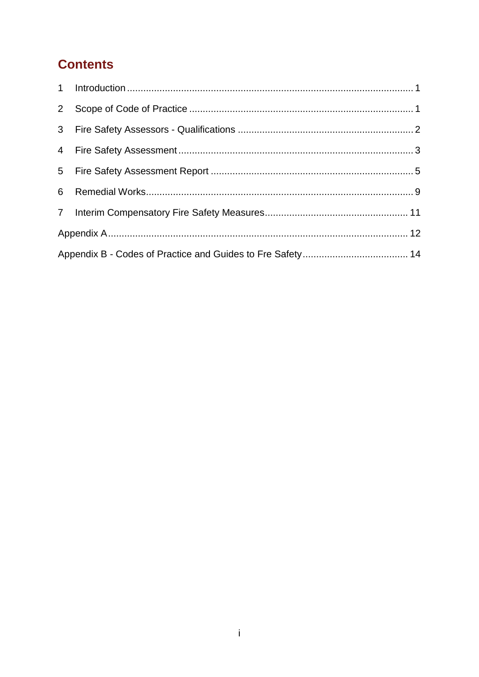## **Contents**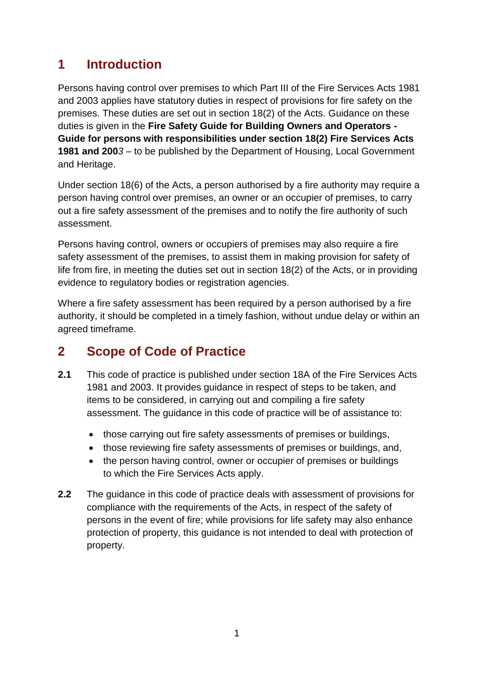## <span id="page-2-0"></span>**1 Introduction**

Persons having control over premises to which Part III of the Fire Services Acts 1981 and 2003 applies have statutory duties in respect of provisions for fire safety on the premises. These duties are set out in section 18(2) of the Acts. Guidance on these duties is given in the **Fire Safety Guide for Building Owners and Operators - Guide for persons with responsibilities under section 18(2) Fire Services Acts 1981 and 200***3* – to be published by the Department of Housing, Local Government and Heritage.

Under section 18(6) of the Acts, a person authorised by a fire authority may require a person having control over premises, an owner or an occupier of premises, to carry out a fire safety assessment of the premises and to notify the fire authority of such assessment.

Persons having control, owners or occupiers of premises may also require a fire safety assessment of the premises, to assist them in making provision for safety of life from fire, in meeting the duties set out in section 18(2) of the Acts, or in providing evidence to regulatory bodies or registration agencies.

Where a fire safety assessment has been required by a person authorised by a fire authority, it should be completed in a timely fashion, without undue delay or within an agreed timeframe.

## <span id="page-2-1"></span>**2 Scope of Code of Practice**

- **2.1** This code of practice is published under section 18A of the Fire Services Acts 1981 and 2003. It provides guidance in respect of steps to be taken, and items to be considered, in carrying out and compiling a fire safety assessment. The guidance in this code of practice will be of assistance to:
	- those carrying out fire safety assessments of premises or buildings,
	- those reviewing fire safety assessments of premises or buildings, and,
	- the person having control, owner or occupier of premises or buildings to which the Fire Services Acts apply.
- **2.2** The guidance in this code of practice deals with assessment of provisions for compliance with the requirements of the Acts, in respect of the safety of persons in the event of fire; while provisions for life safety may also enhance protection of property, this guidance is not intended to deal with protection of property.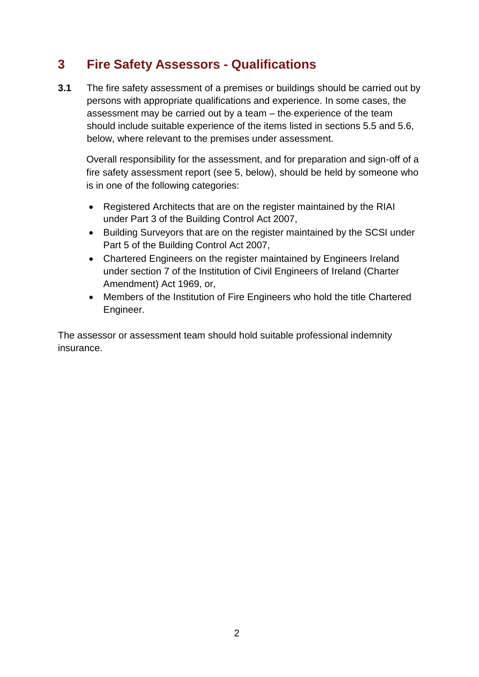## <span id="page-3-0"></span>**3 Fire Safety Assessors - Qualifications**

**3.1** The fire safety assessment of a premises or buildings should be carried out by persons with appropriate qualifications and experience. In some cases, the assessment may be carried out by a team – the experience of the team should include suitable experience of the items listed in sections 5.5 and 5.6, below, where relevant to the premises under assessment.

Overall responsibility for the assessment, and for preparation and sign-off of a fire safety assessment report (see 5, below), should be held by someone who is in one of the following categories:

- Registered Architects that are on the register maintained by the RIAI under Part 3 of the Building Control Act 2007,
- Building Surveyors that are on the register maintained by the SCSI under Part 5 of the Building Control Act 2007,
- Chartered Engineers on the register maintained by Engineers Ireland under section 7 of the Institution of Civil Engineers of Ireland (Charter Amendment) Act 1969, or,
- Members of the Institution of Fire Engineers who hold the title Chartered Engineer.

The assessor or assessment team should hold suitable professional indemnity insurance.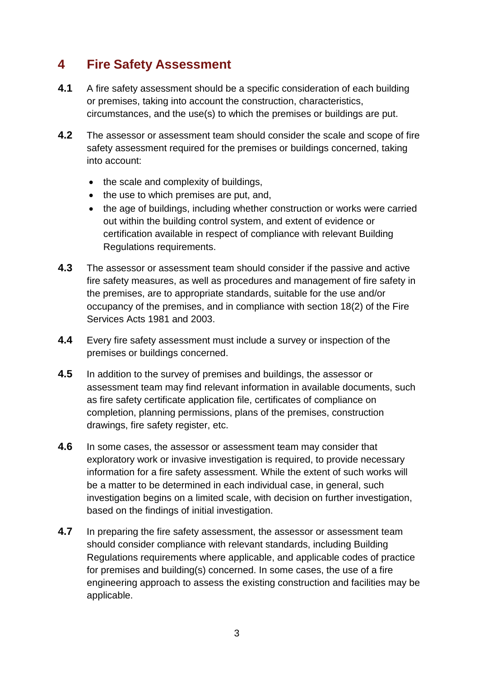## <span id="page-4-0"></span>**4 Fire Safety Assessment**

- **4.1** A fire safety assessment should be a specific consideration of each building or premises, taking into account the construction, characteristics, circumstances, and the use(s) to which the premises or buildings are put.
- **4.2** The assessor or assessment team should consider the scale and scope of fire safety assessment required for the premises or buildings concerned, taking into account:
	- the scale and complexity of buildings,
	- $\bullet$  the use to which premises are put, and,
	- the age of buildings, including whether construction or works were carried out within the building control system, and extent of evidence or certification available in respect of compliance with relevant Building Regulations requirements.
- **4.3** The assessor or assessment team should consider if the passive and active fire safety measures, as well as procedures and management of fire safety in the premises, are to appropriate standards, suitable for the use and/or occupancy of the premises, and in compliance with section 18(2) of the Fire Services Acts 1981 and 2003.
- **4.4** Every fire safety assessment must include a survey or inspection of the premises or buildings concerned.
- **4.5** In addition to the survey of premises and buildings, the assessor or assessment team may find relevant information in available documents, such as fire safety certificate application file, certificates of compliance on completion, planning permissions, plans of the premises, construction drawings, fire safety register, etc.
- **4.6** In some cases, the assessor or assessment team may consider that exploratory work or invasive investigation is required, to provide necessary information for a fire safety assessment. While the extent of such works will be a matter to be determined in each individual case, in general, such investigation begins on a limited scale, with decision on further investigation, based on the findings of initial investigation.
- **4.7** In preparing the fire safety assessment, the assessor or assessment team should consider compliance with relevant standards, including Building Regulations requirements where applicable, and applicable codes of practice for premises and building(s) concerned. In some cases, the use of a fire engineering approach to assess the existing construction and facilities may be applicable.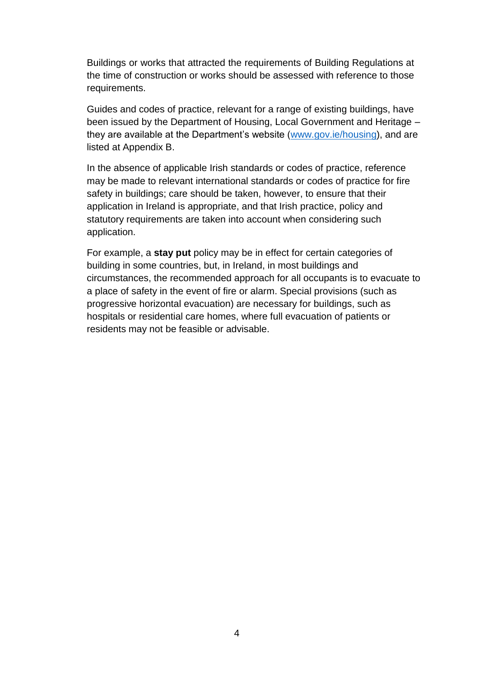Buildings or works that attracted the requirements of Building Regulations at the time of construction or works should be assessed with reference to those requirements.

Guides and codes of practice, relevant for a range of existing buildings, have been issued by the Department of Housing, Local Government and Heritage – they are available at the Department's website [\(www.gov.ie/housing\)](http://www.gov.ie/housing), and are listed at Appendix B.

In the absence of applicable Irish standards or codes of practice, reference may be made to relevant international standards or codes of practice for fire safety in buildings; care should be taken, however, to ensure that their application in Ireland is appropriate, and that Irish practice, policy and statutory requirements are taken into account when considering such application.

For example, a **stay put** policy may be in effect for certain categories of building in some countries, but, in Ireland, in most buildings and circumstances, the recommended approach for all occupants is to evacuate to a place of safety in the event of fire or alarm. Special provisions (such as progressive horizontal evacuation) are necessary for buildings, such as hospitals or residential care homes, where full evacuation of patients or residents may not be feasible or advisable.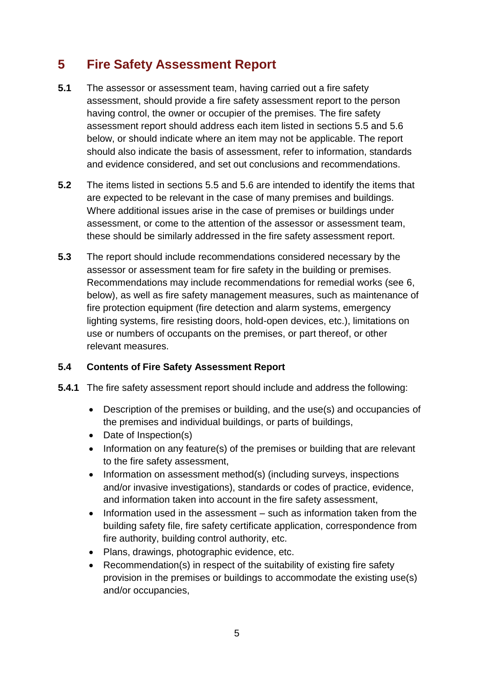## <span id="page-6-0"></span>**5 Fire Safety Assessment Report**

- **5.1** The assessor or assessment team, having carried out a fire safety assessment, should provide a fire safety assessment report to the person having control, the owner or occupier of the premises. The fire safety assessment report should address each item listed in sections 5.5 and 5.6 below, or should indicate where an item may not be applicable. The report should also indicate the basis of assessment, refer to information, standards and evidence considered, and set out conclusions and recommendations.
- **5.2** The items listed in sections 5.5 and 5.6 are intended to identify the items that are expected to be relevant in the case of many premises and buildings. Where additional issues arise in the case of premises or buildings under assessment, or come to the attention of the assessor or assessment team, these should be similarly addressed in the fire safety assessment report.
- **5.3** The report should include recommendations considered necessary by the assessor or assessment team for fire safety in the building or premises. Recommendations may include recommendations for remedial works (see 6, below), as well as fire safety management measures, such as maintenance of fire protection equipment (fire detection and alarm systems, emergency lighting systems, fire resisting doors, hold-open devices, etc.), limitations on use or numbers of occupants on the premises, or part thereof, or other relevant measures.

#### **5.4 Contents of Fire Safety Assessment Report**

- **5.4.1** The fire safety assessment report should include and address the following:
	- Description of the premises or building, and the use(s) and occupancies of the premises and individual buildings, or parts of buildings,
	- Date of Inspection(s)
	- Information on any feature(s) of the premises or building that are relevant to the fire safety assessment,
	- Information on assessment method(s) (including surveys, inspections and/or invasive investigations), standards or codes of practice, evidence, and information taken into account in the fire safety assessment,
	- Information used in the assessment such as information taken from the building safety file, fire safety certificate application, correspondence from fire authority, building control authority, etc.
	- Plans, drawings, photographic evidence, etc.
	- Recommendation(s) in respect of the suitability of existing fire safety provision in the premises or buildings to accommodate the existing use(s) and/or occupancies,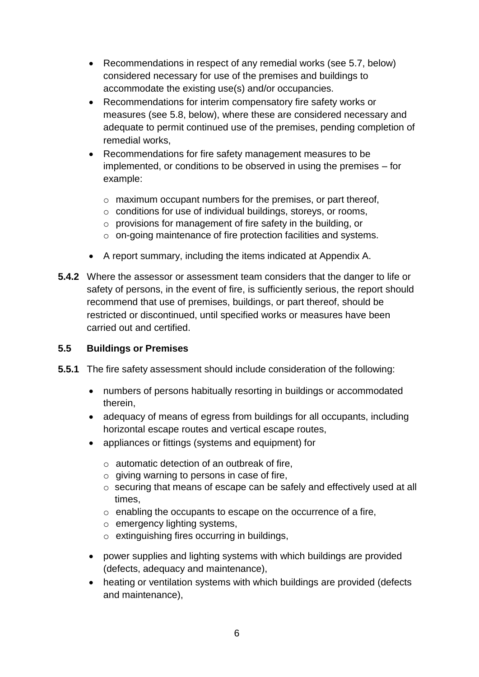- Recommendations in respect of any remedial works (see 5.7, below) considered necessary for use of the premises and buildings to accommodate the existing use(s) and/or occupancies.
- Recommendations for interim compensatory fire safety works or measures (see 5.8, below), where these are considered necessary and adequate to permit continued use of the premises, pending completion of remedial works,
- Recommendations for fire safety management measures to be implemented, or conditions to be observed in using the premises – for example:
	- o maximum occupant numbers for the premises, or part thereof,
	- o conditions for use of individual buildings, storeys, or rooms,
	- o provisions for management of fire safety in the building, or
	- o on-going maintenance of fire protection facilities and systems.
- A report summary, including the items indicated at Appendix A.
- **5.4.2** Where the assessor or assessment team considers that the danger to life or safety of persons, in the event of fire, is sufficiently serious, the report should recommend that use of premises, buildings, or part thereof, should be restricted or discontinued, until specified works or measures have been carried out and certified.

#### **5.5 Buildings or Premises**

- **5.5.1** The fire safety assessment should include consideration of the following:
	- numbers of persons habitually resorting in buildings or accommodated therein,
	- adequacy of means of egress from buildings for all occupants, including horizontal escape routes and vertical escape routes,
	- appliances or fittings (systems and equipment) for
		- o automatic detection of an outbreak of fire,
		- $\circ$  giving warning to persons in case of fire,
		- o securing that means of escape can be safely and effectively used at all times,
		- o enabling the occupants to escape on the occurrence of a fire,
		- o emergency lighting systems,
		- o extinguishing fires occurring in buildings,
	- power supplies and lighting systems with which buildings are provided (defects, adequacy and maintenance),
	- heating or ventilation systems with which buildings are provided (defects and maintenance),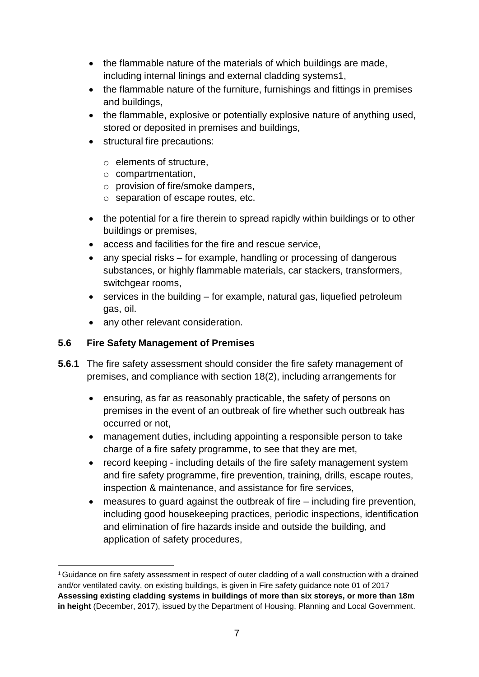- the flammable nature of the materials of which buildings are made, including internal linings and external cladding system[s1,](#page-8-0)
- the flammable nature of the furniture, furnishings and fittings in premises and buildings,
- the flammable, explosive or potentially explosive nature of anything used, stored or deposited in premises and buildings,
- structural fire precautions:
	- o elements of structure,
	- o compartmentation,
	- o provision of fire/smoke dampers,
	- o separation of escape routes, etc.
- the potential for a fire therein to spread rapidly within buildings or to other buildings or premises,
- access and facilities for the fire and rescue service,
- any special risks for example, handling or processing of dangerous substances, or highly flammable materials, car stackers, transformers, switchgear rooms,
- $\bullet$  services in the building for example, natural gas, liquefied petroleum gas, oil.
- any other relevant consideration.

#### **5.6 Fire Safety Management of Premises**

- **5.6.1** The fire safety assessment should consider the fire safety management of premises, and compliance with section 18(2), including arrangements for
	- ensuring, as far as reasonably practicable, the safety of persons on premises in the event of an outbreak of fire whether such outbreak has occurred or not,
	- management duties, including appointing a responsible person to take charge of a fire safety programme, to see that they are met,
	- record keeping including details of the fire safety management system and fire safety programme, fire prevention, training, drills, escape routes, inspection & maintenance, and assistance for fire services,
	- measures to guard against the outbreak of fire including fire prevention, including good housekeeping practices, periodic inspections, identification and elimination of fire hazards inside and outside the building, and application of safety procedures,

<span id="page-8-0"></span><sup>1</sup>Guidance on fire safety assessment in respect of outer cladding of a wall construction with a drained and/or ventilated cavity, on existing buildings, is given in Fire safety guidance note 01 of 2017 **Assessing existing cladding systems in buildings of more than six storeys, or more than 18m in height** (December, 2017), issued by the Department of Housing, Planning and Local Government.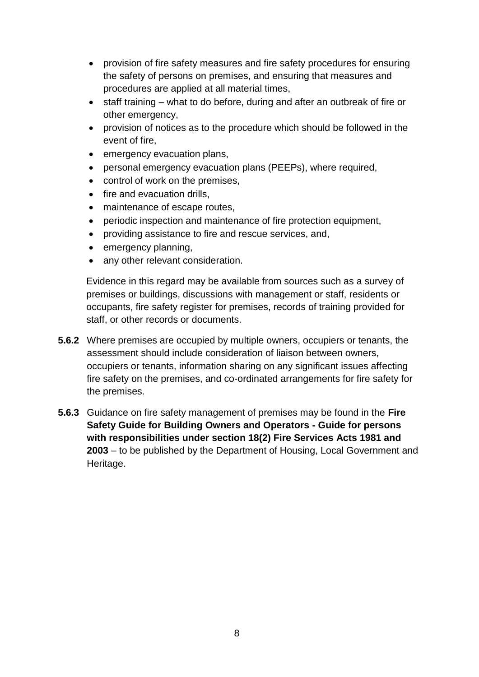- provision of fire safety measures and fire safety procedures for ensuring the safety of persons on premises, and ensuring that measures and procedures are applied at all material times,
- staff training what to do before, during and after an outbreak of fire or other emergency,
- provision of notices as to the procedure which should be followed in the event of fire,
- emergency evacuation plans,
- personal emergency evacuation plans (PEEPs), where required,
- control of work on the premises,
- fire and evacuation drills,
- maintenance of escape routes,
- periodic inspection and maintenance of fire protection equipment,
- providing assistance to fire and rescue services, and,
- emergency planning,
- any other relevant consideration.

Evidence in this regard may be available from sources such as a survey of premises or buildings, discussions with management or staff, residents or occupants, fire safety register for premises, records of training provided for staff, or other records or documents.

- **5.6.2** Where premises are occupied by multiple owners, occupiers or tenants, the assessment should include consideration of liaison between owners, occupiers or tenants, information sharing on any significant issues affecting fire safety on the premises, and co-ordinated arrangements for fire safety for the premises.
- **5.6.3** Guidance on fire safety management of premises may be found in the **Fire Safety Guide for Building Owners and Operators - Guide for persons with responsibilities under section 18(2) Fire Services Acts 1981 and 2003** – to be published by the Department of Housing, Local Government and Heritage.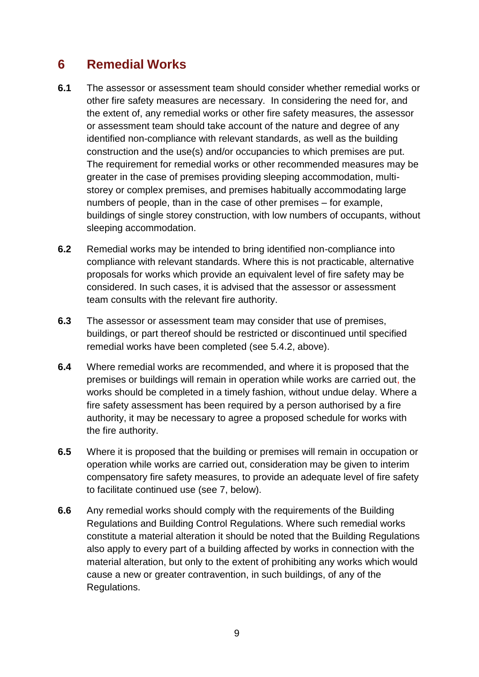### <span id="page-10-0"></span>**6 Remedial Works**

- **6.1** The assessor or assessment team should consider whether remedial works or other fire safety measures are necessary. In considering the need for, and the extent of, any remedial works or other fire safety measures, the assessor or assessment team should take account of the nature and degree of any identified non-compliance with relevant standards, as well as the building construction and the use(s) and/or occupancies to which premises are put. The requirement for remedial works or other recommended measures may be greater in the case of premises providing sleeping accommodation, multistorey or complex premises, and premises habitually accommodating large numbers of people, than in the case of other premises – for example, buildings of single storey construction, with low numbers of occupants, without sleeping accommodation.
- **6.2** Remedial works may be intended to bring identified non-compliance into compliance with relevant standards. Where this is not practicable, alternative proposals for works which provide an equivalent level of fire safety may be considered. In such cases, it is advised that the assessor or assessment team consults with the relevant fire authority.
- **6.3** The assessor or assessment team may consider that use of premises, buildings, or part thereof should be restricted or discontinued until specified remedial works have been completed (see 5.4.2, above).
- **6.4** Where remedial works are recommended, and where it is proposed that the premises or buildings will remain in operation while works are carried out, the works should be completed in a timely fashion, without undue delay. Where a fire safety assessment has been required by a person authorised by a fire authority, it may be necessary to agree a proposed schedule for works with the fire authority.
- **6.5** Where it is proposed that the building or premises will remain in occupation or operation while works are carried out, consideration may be given to interim compensatory fire safety measures, to provide an adequate level of fire safety to facilitate continued use (see 7, below).
- **6.6** Any remedial works should comply with the requirements of the Building Regulations and Building Control Regulations. Where such remedial works constitute a material alteration it should be noted that the Building Regulations also apply to every part of a building affected by works in connection with the material alteration, but only to the extent of prohibiting any works which would cause a new or greater contravention, in such buildings, of any of the Regulations.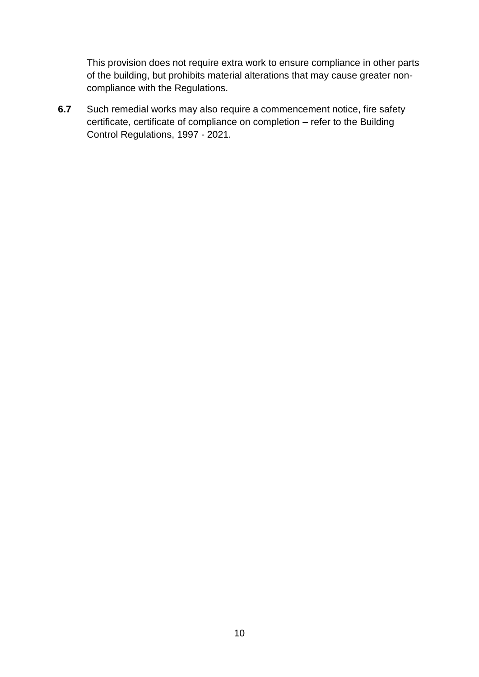This provision does not require extra work to ensure compliance in other parts of the building, but prohibits material alterations that may cause greater noncompliance with the Regulations.

**6.7** Such remedial works may also require a commencement notice, fire safety certificate, certificate of compliance on completion – refer to the Building Control Regulations, 1997 - 2021.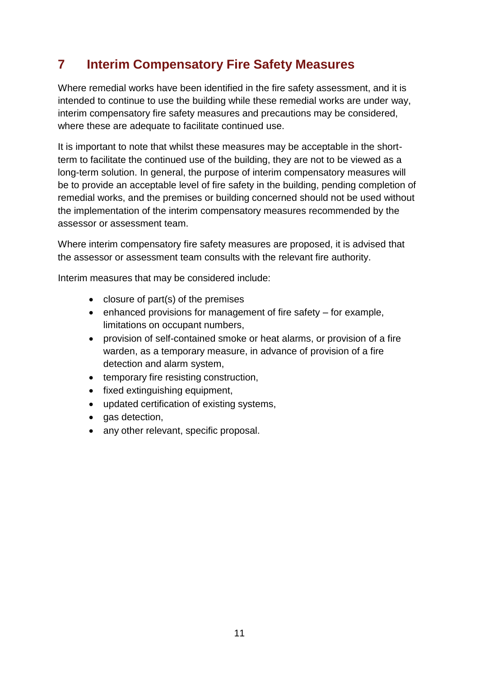## <span id="page-12-0"></span>**7 Interim Compensatory Fire Safety Measures**

Where remedial works have been identified in the fire safety assessment, and it is intended to continue to use the building while these remedial works are under way, interim compensatory fire safety measures and precautions may be considered, where these are adequate to facilitate continued use.

It is important to note that whilst these measures may be acceptable in the shortterm to facilitate the continued use of the building, they are not to be viewed as a long-term solution. In general, the purpose of interim compensatory measures will be to provide an acceptable level of fire safety in the building, pending completion of remedial works, and the premises or building concerned should not be used without the implementation of the interim compensatory measures recommended by the assessor or assessment team.

Where interim compensatory fire safety measures are proposed, it is advised that the assessor or assessment team consults with the relevant fire authority.

Interim measures that may be considered include:

- $\bullet$  closure of part(s) of the premises
- $\bullet$  enhanced provisions for management of fire safety for example, limitations on occupant numbers,
- provision of self-contained smoke or heat alarms, or provision of a fire warden, as a temporary measure, in advance of provision of a fire detection and alarm system,
- temporary fire resisting construction,
- fixed extinguishing equipment,
- updated certification of existing systems,
- gas detection,
- any other relevant, specific proposal.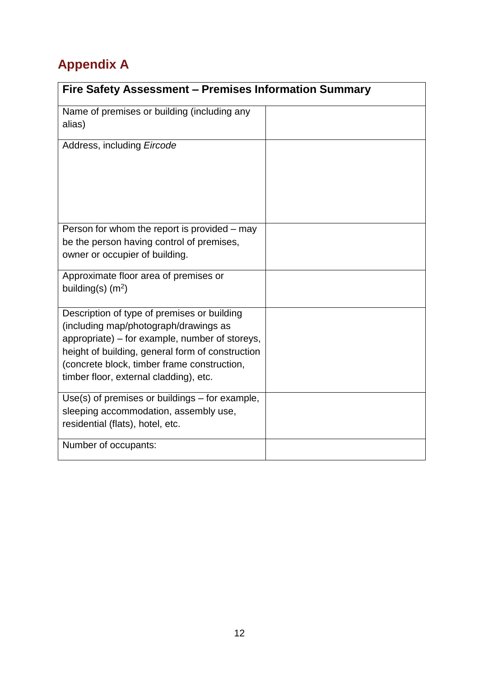# <span id="page-13-0"></span>**Appendix A**

| Fire Safety Assessment - Premises Information Summary                                                                                                                                                                                                                               |  |  |  |  |
|-------------------------------------------------------------------------------------------------------------------------------------------------------------------------------------------------------------------------------------------------------------------------------------|--|--|--|--|
| Name of premises or building (including any<br>alias)                                                                                                                                                                                                                               |  |  |  |  |
| Address, including Eircode                                                                                                                                                                                                                                                          |  |  |  |  |
| Person for whom the report is provided – may<br>be the person having control of premises,<br>owner or occupier of building.                                                                                                                                                         |  |  |  |  |
| Approximate floor area of premises or<br>building(s) $(m^2)$                                                                                                                                                                                                                        |  |  |  |  |
| Description of type of premises or building<br>(including map/photograph/drawings as<br>appropriate) – for example, number of storeys,<br>height of building, general form of construction<br>(concrete block, timber frame construction,<br>timber floor, external cladding), etc. |  |  |  |  |
| $Use(s)$ of premises or buildings $-$ for example,<br>sleeping accommodation, assembly use,<br>residential (flats), hotel, etc.                                                                                                                                                     |  |  |  |  |
| Number of occupants:                                                                                                                                                                                                                                                                |  |  |  |  |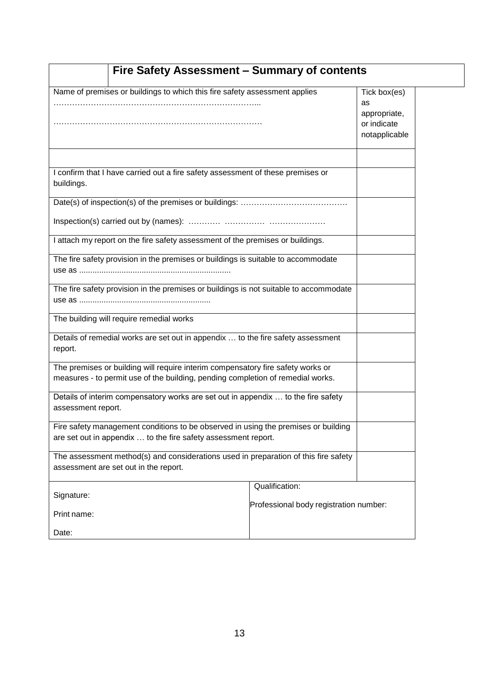| Name of premises or buildings to which this fire safety assessment applies<br>Tick box(es)<br>as<br>appropriate,<br>or indicate<br>notapplicable<br>I confirm that I have carried out a fire safety assessment of these premises or<br>buildings.<br>I attach my report on the fire safety assessment of the premises or buildings.<br>The fire safety provision in the premises or buildings is suitable to accommodate<br>The fire safety provision in the premises or buildings is not suitable to accommodate<br>The building will require remedial works<br>Details of remedial works are set out in appendix  to the fire safety assessment<br>report.<br>The premises or building will require interim compensatory fire safety works or<br>measures - to permit use of the building, pending completion of remedial works.<br>Details of interim compensatory works are set out in appendix  to the fire safety<br>assessment report.<br>Fire safety management conditions to be observed in using the premises or building<br>are set out in appendix  to the fire safety assessment report.<br>The assessment method(s) and considerations used in preparation of this fire safety<br>assessment are set out in the report.<br>Qualification:<br>Signature:<br>Professional body registration number:<br>Print name:<br>Date: | Fire Safety Assessment - Summary of contents |  |  |  |  |  |
|-----------------------------------------------------------------------------------------------------------------------------------------------------------------------------------------------------------------------------------------------------------------------------------------------------------------------------------------------------------------------------------------------------------------------------------------------------------------------------------------------------------------------------------------------------------------------------------------------------------------------------------------------------------------------------------------------------------------------------------------------------------------------------------------------------------------------------------------------------------------------------------------------------------------------------------------------------------------------------------------------------------------------------------------------------------------------------------------------------------------------------------------------------------------------------------------------------------------------------------------------------------------------------------------------------------------------------------------|----------------------------------------------|--|--|--|--|--|
|                                                                                                                                                                                                                                                                                                                                                                                                                                                                                                                                                                                                                                                                                                                                                                                                                                                                                                                                                                                                                                                                                                                                                                                                                                                                                                                                         |                                              |  |  |  |  |  |
|                                                                                                                                                                                                                                                                                                                                                                                                                                                                                                                                                                                                                                                                                                                                                                                                                                                                                                                                                                                                                                                                                                                                                                                                                                                                                                                                         |                                              |  |  |  |  |  |
|                                                                                                                                                                                                                                                                                                                                                                                                                                                                                                                                                                                                                                                                                                                                                                                                                                                                                                                                                                                                                                                                                                                                                                                                                                                                                                                                         |                                              |  |  |  |  |  |
|                                                                                                                                                                                                                                                                                                                                                                                                                                                                                                                                                                                                                                                                                                                                                                                                                                                                                                                                                                                                                                                                                                                                                                                                                                                                                                                                         |                                              |  |  |  |  |  |
|                                                                                                                                                                                                                                                                                                                                                                                                                                                                                                                                                                                                                                                                                                                                                                                                                                                                                                                                                                                                                                                                                                                                                                                                                                                                                                                                         |                                              |  |  |  |  |  |
|                                                                                                                                                                                                                                                                                                                                                                                                                                                                                                                                                                                                                                                                                                                                                                                                                                                                                                                                                                                                                                                                                                                                                                                                                                                                                                                                         |                                              |  |  |  |  |  |
|                                                                                                                                                                                                                                                                                                                                                                                                                                                                                                                                                                                                                                                                                                                                                                                                                                                                                                                                                                                                                                                                                                                                                                                                                                                                                                                                         |                                              |  |  |  |  |  |
|                                                                                                                                                                                                                                                                                                                                                                                                                                                                                                                                                                                                                                                                                                                                                                                                                                                                                                                                                                                                                                                                                                                                                                                                                                                                                                                                         |                                              |  |  |  |  |  |
|                                                                                                                                                                                                                                                                                                                                                                                                                                                                                                                                                                                                                                                                                                                                                                                                                                                                                                                                                                                                                                                                                                                                                                                                                                                                                                                                         |                                              |  |  |  |  |  |
|                                                                                                                                                                                                                                                                                                                                                                                                                                                                                                                                                                                                                                                                                                                                                                                                                                                                                                                                                                                                                                                                                                                                                                                                                                                                                                                                         |                                              |  |  |  |  |  |
|                                                                                                                                                                                                                                                                                                                                                                                                                                                                                                                                                                                                                                                                                                                                                                                                                                                                                                                                                                                                                                                                                                                                                                                                                                                                                                                                         |                                              |  |  |  |  |  |
|                                                                                                                                                                                                                                                                                                                                                                                                                                                                                                                                                                                                                                                                                                                                                                                                                                                                                                                                                                                                                                                                                                                                                                                                                                                                                                                                         |                                              |  |  |  |  |  |
|                                                                                                                                                                                                                                                                                                                                                                                                                                                                                                                                                                                                                                                                                                                                                                                                                                                                                                                                                                                                                                                                                                                                                                                                                                                                                                                                         |                                              |  |  |  |  |  |
|                                                                                                                                                                                                                                                                                                                                                                                                                                                                                                                                                                                                                                                                                                                                                                                                                                                                                                                                                                                                                                                                                                                                                                                                                                                                                                                                         |                                              |  |  |  |  |  |
|                                                                                                                                                                                                                                                                                                                                                                                                                                                                                                                                                                                                                                                                                                                                                                                                                                                                                                                                                                                                                                                                                                                                                                                                                                                                                                                                         |                                              |  |  |  |  |  |
|                                                                                                                                                                                                                                                                                                                                                                                                                                                                                                                                                                                                                                                                                                                                                                                                                                                                                                                                                                                                                                                                                                                                                                                                                                                                                                                                         |                                              |  |  |  |  |  |
|                                                                                                                                                                                                                                                                                                                                                                                                                                                                                                                                                                                                                                                                                                                                                                                                                                                                                                                                                                                                                                                                                                                                                                                                                                                                                                                                         |                                              |  |  |  |  |  |
|                                                                                                                                                                                                                                                                                                                                                                                                                                                                                                                                                                                                                                                                                                                                                                                                                                                                                                                                                                                                                                                                                                                                                                                                                                                                                                                                         |                                              |  |  |  |  |  |
|                                                                                                                                                                                                                                                                                                                                                                                                                                                                                                                                                                                                                                                                                                                                                                                                                                                                                                                                                                                                                                                                                                                                                                                                                                                                                                                                         |                                              |  |  |  |  |  |
|                                                                                                                                                                                                                                                                                                                                                                                                                                                                                                                                                                                                                                                                                                                                                                                                                                                                                                                                                                                                                                                                                                                                                                                                                                                                                                                                         |                                              |  |  |  |  |  |
|                                                                                                                                                                                                                                                                                                                                                                                                                                                                                                                                                                                                                                                                                                                                                                                                                                                                                                                                                                                                                                                                                                                                                                                                                                                                                                                                         |                                              |  |  |  |  |  |
|                                                                                                                                                                                                                                                                                                                                                                                                                                                                                                                                                                                                                                                                                                                                                                                                                                                                                                                                                                                                                                                                                                                                                                                                                                                                                                                                         |                                              |  |  |  |  |  |
|                                                                                                                                                                                                                                                                                                                                                                                                                                                                                                                                                                                                                                                                                                                                                                                                                                                                                                                                                                                                                                                                                                                                                                                                                                                                                                                                         |                                              |  |  |  |  |  |
|                                                                                                                                                                                                                                                                                                                                                                                                                                                                                                                                                                                                                                                                                                                                                                                                                                                                                                                                                                                                                                                                                                                                                                                                                                                                                                                                         |                                              |  |  |  |  |  |
|                                                                                                                                                                                                                                                                                                                                                                                                                                                                                                                                                                                                                                                                                                                                                                                                                                                                                                                                                                                                                                                                                                                                                                                                                                                                                                                                         |                                              |  |  |  |  |  |
|                                                                                                                                                                                                                                                                                                                                                                                                                                                                                                                                                                                                                                                                                                                                                                                                                                                                                                                                                                                                                                                                                                                                                                                                                                                                                                                                         |                                              |  |  |  |  |  |
|                                                                                                                                                                                                                                                                                                                                                                                                                                                                                                                                                                                                                                                                                                                                                                                                                                                                                                                                                                                                                                                                                                                                                                                                                                                                                                                                         |                                              |  |  |  |  |  |
|                                                                                                                                                                                                                                                                                                                                                                                                                                                                                                                                                                                                                                                                                                                                                                                                                                                                                                                                                                                                                                                                                                                                                                                                                                                                                                                                         |                                              |  |  |  |  |  |
|                                                                                                                                                                                                                                                                                                                                                                                                                                                                                                                                                                                                                                                                                                                                                                                                                                                                                                                                                                                                                                                                                                                                                                                                                                                                                                                                         |                                              |  |  |  |  |  |
|                                                                                                                                                                                                                                                                                                                                                                                                                                                                                                                                                                                                                                                                                                                                                                                                                                                                                                                                                                                                                                                                                                                                                                                                                                                                                                                                         |                                              |  |  |  |  |  |
|                                                                                                                                                                                                                                                                                                                                                                                                                                                                                                                                                                                                                                                                                                                                                                                                                                                                                                                                                                                                                                                                                                                                                                                                                                                                                                                                         |                                              |  |  |  |  |  |
|                                                                                                                                                                                                                                                                                                                                                                                                                                                                                                                                                                                                                                                                                                                                                                                                                                                                                                                                                                                                                                                                                                                                                                                                                                                                                                                                         |                                              |  |  |  |  |  |
|                                                                                                                                                                                                                                                                                                                                                                                                                                                                                                                                                                                                                                                                                                                                                                                                                                                                                                                                                                                                                                                                                                                                                                                                                                                                                                                                         |                                              |  |  |  |  |  |
|                                                                                                                                                                                                                                                                                                                                                                                                                                                                                                                                                                                                                                                                                                                                                                                                                                                                                                                                                                                                                                                                                                                                                                                                                                                                                                                                         |                                              |  |  |  |  |  |
|                                                                                                                                                                                                                                                                                                                                                                                                                                                                                                                                                                                                                                                                                                                                                                                                                                                                                                                                                                                                                                                                                                                                                                                                                                                                                                                                         |                                              |  |  |  |  |  |
|                                                                                                                                                                                                                                                                                                                                                                                                                                                                                                                                                                                                                                                                                                                                                                                                                                                                                                                                                                                                                                                                                                                                                                                                                                                                                                                                         |                                              |  |  |  |  |  |
|                                                                                                                                                                                                                                                                                                                                                                                                                                                                                                                                                                                                                                                                                                                                                                                                                                                                                                                                                                                                                                                                                                                                                                                                                                                                                                                                         |                                              |  |  |  |  |  |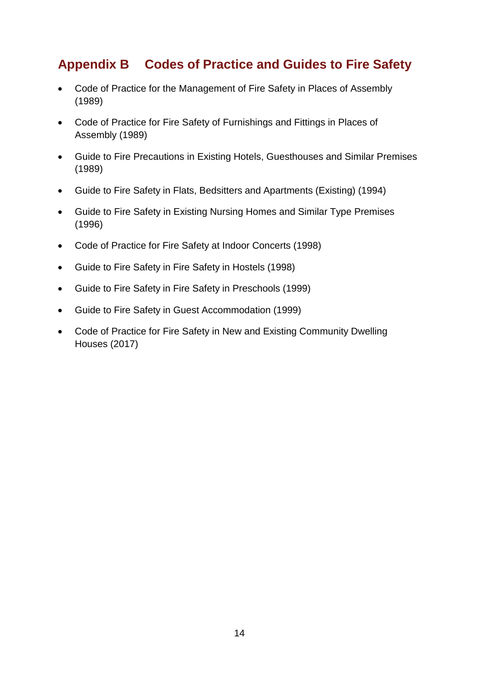## <span id="page-15-0"></span>**Appendix B Codes of Practice and Guides to Fire Safety**

- Code of Practice for the Management of Fire Safety in Places of Assembly (1989)
- Code of Practice for Fire Safety of Furnishings and Fittings in Places of Assembly (1989)
- Guide to Fire Precautions in Existing Hotels, Guesthouses and Similar Premises (1989)
- Guide to Fire Safety in Flats, Bedsitters and Apartments (Existing) (1994)
- Guide to Fire Safety in Existing Nursing Homes and Similar Type Premises (1996)
- Code of Practice for Fire Safety at Indoor Concerts (1998)
- Guide to Fire Safety in Fire Safety in Hostels (1998)
- Guide to Fire Safety in Fire Safety in Preschools (1999)
- Guide to Fire Safety in Guest Accommodation (1999)
- Code of Practice for Fire Safety in New and Existing Community Dwelling Houses (2017)